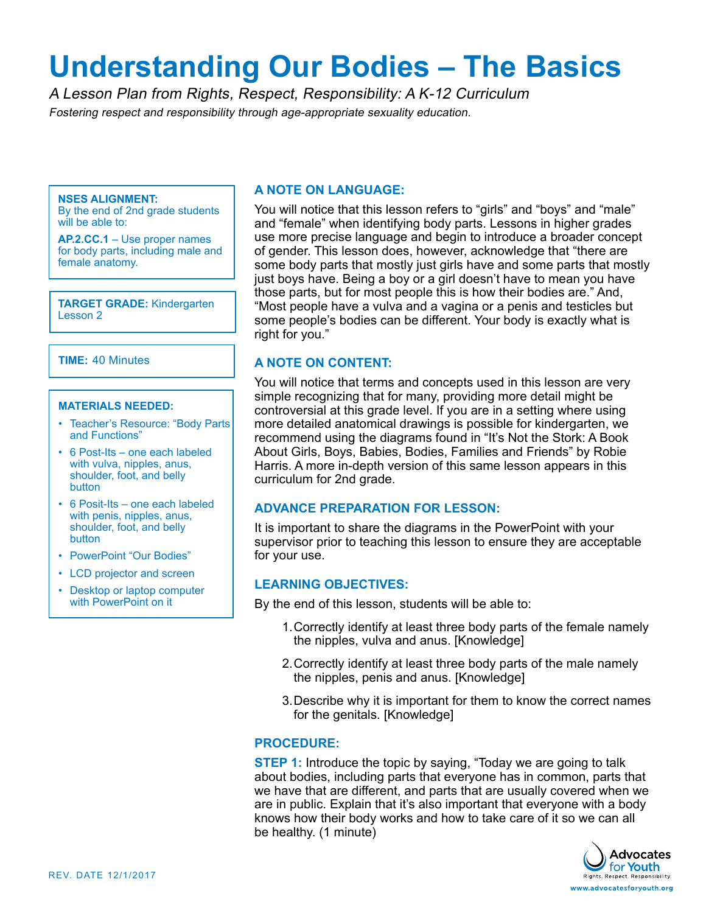# **Understanding Our Bodies – The Basics**

A Lesson Plan from Rights, Respect, Responsibility: A K-12 Curriculum Fostering respect and responsibility through age-appropriate sexuality education.

#### **NSES ALIGNMENT:**

By the end of 2nd grade students will be able to:

**AP.2.CC.1** – Use proper names for body parts, including male and female anatomy.

**TARGET GRADE:** Kindergarten Lesson 2

### **TIME:** 40 Minutes

#### **MATERIALS NEEDED:**

- Teacher's Resource: "Body Parts and Functions"
- 6 Post-Its one each labeled with vulva, nipples, anus, shoulder, foot, and belly button
- 6 Posit-Its one each labeled with penis, nipples, anus, shoulder, foot, and belly button
- PowerPoint "Our Bodies"
- LCD projector and screen
- Desktop or laptop computer with PowerPoint on it

## **A NOTE ON LANGUAGE:**

You will notice that this lesson refers to "girls" and "boys" and "male" and "female" when identifying body parts. Lessons in higher grades use more precise language and begin to introduce a broader concept of gender. This lesson does, however, acknowledge that "there are some body parts that mostly just girls have and some parts that mostly just boys have. Being a boy or a girl doesn't have to mean you have those parts, but for most people this is how their bodies are." And, "Most people have a vulva and a vagina or a penis and testicles but some people's bodies can be different. Your body is exactly what is right for you."

## **A NOTE ON CONTENT:**

You will notice that terms and concepts used in this lesson are very simple recognizing that for many, providing more detail might be controversial at this grade level. If you are in a setting where using more detailed anatomical drawings is possible for kindergarten, we recommend using the diagrams found in "It's Not the Stork: A Book About Girls, Boys, Babies, Bodies, Families and Friends" by Robie Harris. A more in-depth version of this same lesson appears in this curriculum for 2nd grade.

## **ADVANCE PREPARATION FOR LESSON:**

It is important to share the diagrams in the PowerPoint with your supervisor prior to teaching this lesson to ensure they are acceptable for your use.

## **LEARNING OBJECTIVES:**

By the end of this lesson, students will be able to:

- 1.Correctly identify at least three body parts of the female namely the nipples, vulva and anus. [Knowledge]
- 2.Correctly identify at least three body parts of the male namely the nipples, penis and anus. [Knowledge]
- 3.Describe why it is important for them to know the correct names for the genitals. [Knowledge]

## **PROCEDURE:**

**STEP 1:** Introduce the topic by saying, "Today we are going to talk about bodies, including parts that everyone has in common, parts that we have that are different, and parts that are usually covered when we are in public. Explain that it's also important that everyone with a body knows how their body works and how to take care of it so we can all be healthy. (1 minute)

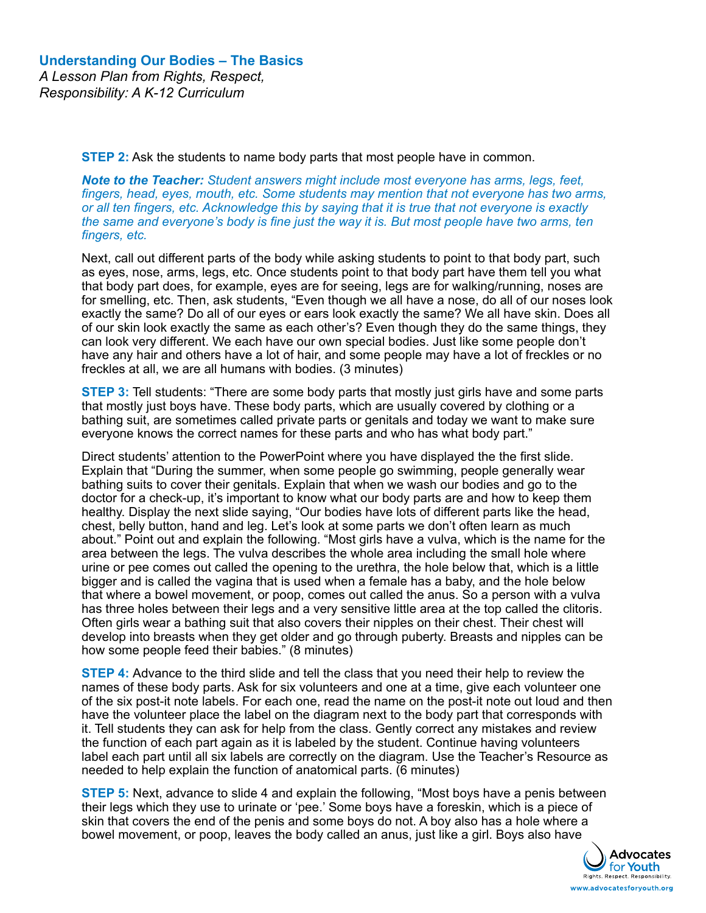**STEP 2:** Ask the students to name body parts that most people have in common.

*Note to the Teacher: Student answers might include most everyone has arms, legs, feet, fingers, head, eyes, mouth, etc. Some students may mention that not everyone has two arms, or all ten fingers, etc. Acknowledge this by saying that it is true that not everyone is exactly the same and everyone's body is fine just the way it is. But most people have two arms, ten fingers, etc.* 

Next, call out different parts of the body while asking students to point to that body part, such as eyes, nose, arms, legs, etc. Once students point to that body part have them tell you what that body part does, for example, eyes are for seeing, legs are for walking/running, noses are for smelling, etc. Then, ask students, "Even though we all have a nose, do all of our noses look exactly the same? Do all of our eyes or ears look exactly the same? We all have skin. Does all of our skin look exactly the same as each other's? Even though they do the same things, they can look very different. We each have our own special bodies. Just like some people don't have any hair and others have a lot of hair, and some people may have a lot of freckles or no freckles at all, we are all humans with bodies. (3 minutes)

**STEP 3:** Tell students: "There are some body parts that mostly just girls have and some parts that mostly just boys have. These body parts, which are usually covered by clothing or a bathing suit, are sometimes called private parts or genitals and today we want to make sure everyone knows the correct names for these parts and who has what body part."

Direct students' attention to the PowerPoint where you have displayed the the first slide. Explain that "During the summer, when some people go swimming, people generally wear bathing suits to cover their genitals. Explain that when we wash our bodies and go to the doctor for a check-up, it's important to know what our body parts are and how to keep them healthy. Display the next slide saying, "Our bodies have lots of different parts like the head, chest, belly button, hand and leg. Let's look at some parts we don't often learn as much about." Point out and explain the following. "Most girls have a vulva, which is the name for the area between the legs. The vulva describes the whole area including the small hole where urine or pee comes out called the opening to the urethra, the hole below that, which is a little bigger and is called the vagina that is used when a female has a baby, and the hole below that where a bowel movement, or poop, comes out called the anus. So a person with a vulva has three holes between their legs and a very sensitive little area at the top called the clitoris. Often girls wear a bathing suit that also covers their nipples on their chest. Their chest will develop into breasts when they get older and go through puberty. Breasts and nipples can be how some people feed their babies." (8 minutes)

**STEP 4:** Advance to the third slide and tell the class that you need their help to review the names of these body parts. Ask for six volunteers and one at a time, give each volunteer one of the six post-it note labels. For each one, read the name on the post-it note out loud and then have the volunteer place the label on the diagram next to the body part that corresponds with it. Tell students they can ask for help from the class. Gently correct any mistakes and review the function of each part again as it is labeled by the student. Continue having volunteers label each part until all six labels are correctly on the diagram. Use the Teacher's Resource as needed to help explain the function of anatomical parts. (6 minutes)

**STEP 5:** Next, advance to slide 4 and explain the following, "Most boys have a penis between their legs which they use to urinate or 'pee.' Some boys have a foreskin, which is a piece of skin that covers the end of the penis and some boys do not. A boy also has a hole where a bowel movement, or poop, leaves the body called an anus, just like a girl. Boys also h[ave](http://www.advocatesforyouth.org) 

> **Advocates** for **Youth** Rights, Respect, Respo www.advocatesforyouth.org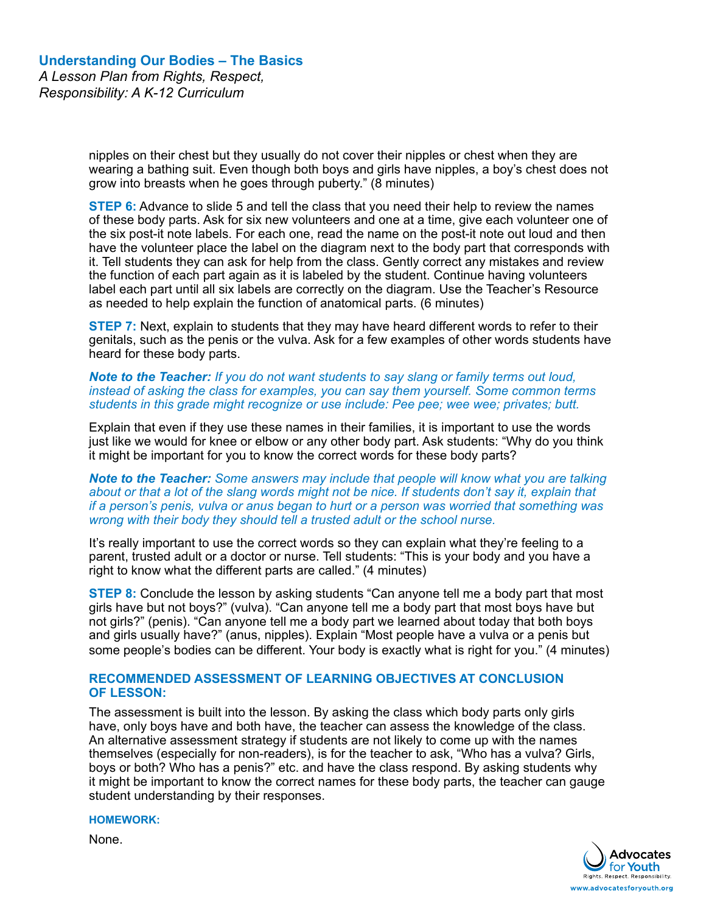nipples on their chest but they usually do not cover their nipples or chest when they are wearing a bathing suit. Even though both boys and girls have nipples, a boy's chest does not grow into breasts when he goes through puberty." (8 minutes)

**STEP 6:** Advance to slide 5 and tell the class that you need their help to review the names of these body parts. Ask for six new volunteers and one at a time, give each volunteer one of the six post-it note labels. For each one, read the name on the post-it note out loud and then have the volunteer place the label on the diagram next to the body part that corresponds with it. Tell students they can ask for help from the class. Gently correct any mistakes and review the function of each part again as it is labeled by the student. Continue having volunteers label each part until all six labels are correctly on the diagram. Use the Teacher's Resource as needed to help explain the function of anatomical parts. (6 minutes)

**STEP 7:** Next, explain to students that they may have heard different words to refer to their genitals, such as the penis or the vulva. Ask for a few examples of other words students have heard for these body parts.

*Note to the Teacher: If you do not want students to say slang or family terms out loud, instead of asking the class for examples, you can say them yourself. Some common terms students in this grade might recognize or use include: Pee pee; wee wee; privates; butt.* 

Explain that even if they use these names in their families, it is important to use the words just like we would for knee or elbow or any other body part. Ask students: "Why do you think it might be important for you to know the correct words for these body parts?

*Note to the Teacher: Some answers may include that people will know what you are talking about or that a lot of the slang words might not be nice. If students don't say it, explain that if a person's penis, vulva or anus began to hurt or a person was worried that something was wrong with their body they should tell a trusted adult or the school nurse.*

It's really important to use the correct words so they can explain what they're feeling to a parent, trusted adult or a doctor or nurse. Tell students: "This is your body and you have a right to know what the different parts are called." (4 minutes)

**STEP 8:** Conclude the lesson by asking students "Can anyone tell me a body part that most girls have but not boys?" (vulva). "Can anyone tell me a body part that most boys have but not girls?" (penis). "Can anyone tell me a body part we learned about today that both boys and girls usually have?" (anus, nipples). Explain "Most people have a vulva or a penis but some people's bodies can be different. Your body is exactly what is right for you." (4 minutes)

## **RECOMMENDED ASSESSMENT OF LEARNING OBJECTIVES AT CONCLUSION OF LESSON:**

The assessment is built into the lesson. By asking the class which body parts only girls have, only boys have and both have, the teacher can assess the knowledge of the class. An alternative assessment strategy if students are not likely to come up with the names themselves (especially for non-readers), is for the teacher to ask, "Who has a vulva? Girls, boys or both? Who has a penis?" etc. and have the class respond. By asking students why it might be important to know the correct names for these body parts, the teacher can gauge student understanding by their responses.

**HOMEWORK:**

None.